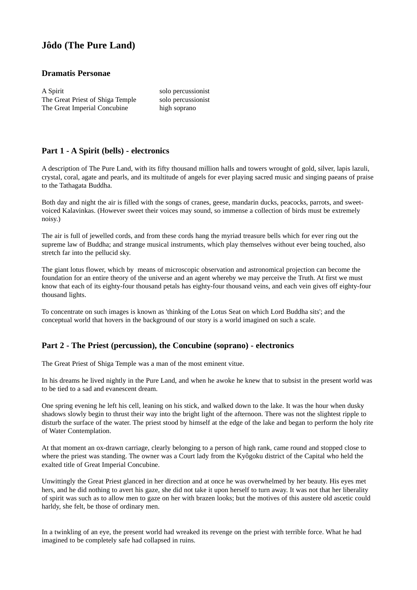# **Jôdo (The Pure Land)**

#### **Dramatis Personae**

A Spirit solo percussionist The Great Priest of Shiga Temple solo percussionist The Great Imperial Concubine high soprano

# **Part 1 - A Spirit (bells) - electronics**

A description of The Pure Land, with its fifty thousand million halls and towers wrought of gold, silver, lapis lazuli, crystal, coral, agate and pearls, and its multitude of angels for ever playing sacred music and singing paeans of praise to the Tathagata Buddha.

Both day and night the air is filled with the songs of cranes, geese, mandarin ducks, peacocks, parrots, and sweetvoiced Kalavinkas. (However sweet their voices may sound, so immense a collection of birds must be extremely noisy.)

The air is full of jewelled cords, and from these cords hang the myriad treasure bells which for ever ring out the supreme law of Buddha; and strange musical instruments, which play themselves without ever being touched, also stretch far into the pellucid sky.

The giant lotus flower, which by means of microscopic observation and astronomical projection can become the foundation for an entire theory of the universe and an agent whereby we may perceive the Truth. At first we must know that each of its eighty-four thousand petals has eighty-four thousand veins, and each vein gives off eighty-four thousand lights.

To concentrate on such images is known as 'thinking of the Lotus Seat on which Lord Buddha sits'; and the conceptual world that hovers in the background of our story is a world imagined on such a scale.

## **Part 2 - The Priest (percussion), the Concubine (soprano) - electronics**

The Great Priest of Shiga Temple was a man of the most eminent vitue.

In his dreams he lived nightly in the Pure Land, and when he awoke he knew that to subsist in the present world was to be tied to a sad and evanescent dream.

One spring evening he left his cell, leaning on his stick, and walked down to the lake. It was the hour when dusky shadows slowly begin to thrust their way into the bright light of the afternoon. There was not the slightest ripple to disturb the surface of the water. The priest stood by himself at the edge of the lake and began to perform the holy rite of Water Contemplation.

At that moment an ox-drawn carriage, clearly belonging to a person of high rank, came round and stopped close to where the priest was standing. The owner was a Court lady from the Kyôgoku district of the Capital who held the exalted title of Great Imperial Concubine.

Unwittingly the Great Priest glanced in her direction and at once he was overwhelmed by her beauty. His eyes met hers, and he did nothing to avert his gaze, she did not take it upon herself to turn away. It was not that her liberality of spirit was such as to allow men to gaze on her with brazen looks; but the motives of this austere old ascetic could harldy, she felt, be those of ordinary men.

In a twinkling of an eye, the present world had wreaked its revenge on the priest with terrible force. What he had imagined to be completely safe had collapsed in ruins.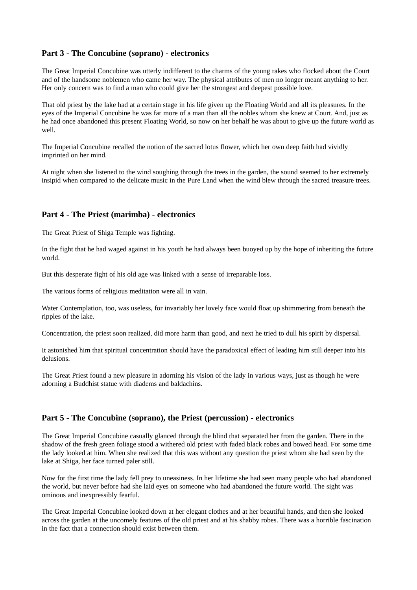## **Part 3 - The Concubine (soprano) - electronics**

The Great Imperial Concubine was utterly indifferent to the charms of the young rakes who flocked about the Court and of the handsome noblemen who came her way. The physical attributes of men no longer meant anything to her. Her only concern was to find a man who could give her the strongest and deepest possible love.

That old priest by the lake had at a certain stage in his life given up the Floating World and all its pleasures. In the eyes of the Imperial Concubine he was far more of a man than all the nobles whom she knew at Court. And, just as he had once abandoned this present Floating World, so now on her behalf he was about to give up the future world as well.

The Imperial Concubine recalled the notion of the sacred lotus flower, which her own deep faith had vividly imprinted on her mind.

At night when she listened to the wind soughing through the trees in the garden, the sound seemed to her extremely insipid when compared to the delicate music in the Pure Land when the wind blew through the sacred treasure trees.

#### **Part 4 - The Priest (marimba) - electronics**

The Great Priest of Shiga Temple was fighting.

In the fight that he had waged against in his youth he had always been buoyed up by the hope of inheriting the future world.

But this desperate fight of his old age was linked with a sense of irreparable loss.

The various forms of religious meditation were all in vain.

Water Contemplation, too, was useless, for invariably her lovely face would float up shimmering from beneath the ripples of the lake.

Concentration, the priest soon realized, did more harm than good, and next he tried to dull his spirit by dispersal.

It astonished him that spiritual concentration should have the paradoxical effect of leading him still deeper into his delusions.

The Great Priest found a new pleasure in adorning his vision of the lady in various ways, just as though he were adorning a Buddhist statue with diadems and baldachins.

#### **Part 5 - The Concubine (soprano), the Priest (percussion) - electronics**

The Great Imperial Concubine casually glanced through the blind that separated her from the garden. There in the shadow of the fresh green foliage stood a withered old priest with faded black robes and bowed head. For some time the lady looked at him. When she realized that this was without any question the priest whom she had seen by the lake at Shiga, her face turned paler still.

Now for the first time the lady fell prey to uneasiness. In her lifetime she had seen many people who had abandoned the world, but never before had she laid eyes on someone who had abandoned the future world. The sight was ominous and inexpressibly fearful.

The Great Imperial Concubine looked down at her elegant clothes and at her beautiful hands, and then she looked across the garden at the uncomely features of the old priest and at his shabby robes. There was a horrible fascination in the fact that a connection should exist between them.